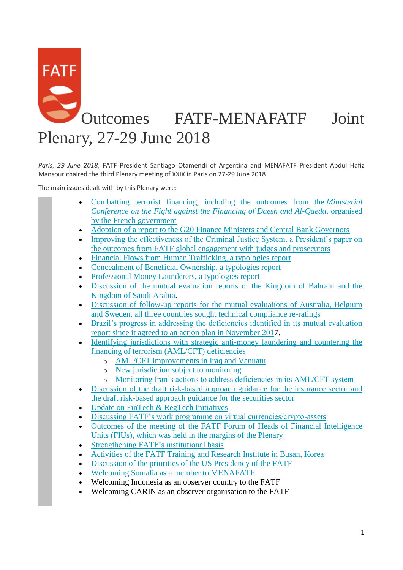# **FATF** Outcomes FATF-MENAFATF Joint Plenary, 27-29 June 2018

*Paris, 29 June 2018*, FATF President Santiago Otamendi of Argentina and MENAFATF President Abdul Hafiz Mansour chaired the third Plenary meeting of XXIX in Paris on 27-29 June 2018.

The main issues dealt with by this Plenary were:

- [Combatting terrorist financing, including the outcomes from the](http://www.fatf-gafi.org/publications/fatfgeneral/documents/outcomes-plenary-june-2018.html#ONE) *Ministerial [Conference on the Fight against the Financing of Daesh and Al-Qaeda](http://www.fatf-gafi.org/publications/fatfgeneral/documents/outcomes-plenary-june-2018.html#ONE)*, organised [by the French government](http://www.fatf-gafi.org/publications/fatfgeneral/documents/outcomes-plenary-june-2018.html#ONE)
- [Adoption of a report to the G20 Finance Ministers and Central Bank Governors](http://www.fatf-gafi.org/publications/fatfgeneral/documents/outcomes-plenary-june-2018.html#TWO)
- Improving the effectiveness of the Criminal Justice System, a President's paper on [the outcomes from FATF global engagement with judges and prosecutors](http://www.fatf-gafi.org/publications/fatfgeneral/documents/outcomes-plenary-june-2018.html#THREE)
- [Financial Flows from Human Trafficking, a typologies report](http://www.fatf-gafi.org/publications/fatfgeneral/documents/outcomes-plenary-june-2018.html#FOUR)
- [Concealment of Beneficial Ownership, a typologies report](http://www.fatf-gafi.org/publications/fatfgeneral/documents/outcomes-plenary-june-2018.html#FIVE)
- [Professional Money Launderers, a typologies report](http://www.fatf-gafi.org/publications/fatfgeneral/documents/outcomes-plenary-june-2018.html#SIX)
- [Discussion of the mutual evaluation reports of the Kingdom of Bahrain and the](http://www.fatf-gafi.org/publications/fatfgeneral/documents/outcomes-plenary-june-2018.html#SEVEN)  [Kingdom of Saudi Arabia.](http://www.fatf-gafi.org/publications/fatfgeneral/documents/outcomes-plenary-june-2018.html#SEVEN)
- [Discussion of follow-up reports for the mutual evaluations of Australia, Belgium](http://www.fatf-gafi.org/publications/fatfgeneral/documents/outcomes-plenary-june-2018.html#EIGHT)  [and Sweden, all three countries sought technical compliance re-ratings](http://www.fatf-gafi.org/publications/fatfgeneral/documents/outcomes-plenary-june-2018.html#EIGHT)
- [Brazil's progress in addressing the deficiencies identified in its mutual evaluation](http://www.fatf-gafi.org/publications/fatfgeneral/documents/outcomes-plenary-june-2018.html#NINE)  [report since it agreed to an action plan in November 2017](http://www.fatf-gafi.org/publications/fatfgeneral/documents/outcomes-plenary-june-2018.html#NINE).
- [Identifying jurisdictions with strategic anti-money laundering and countering the](http://www.fatf-gafi.org/publications/fatfgeneral/documents/outcomes-plenary-june-2018.html#TEN)  [financing of terrorism \(AML/CFT\) deficiencies](http://www.fatf-gafi.org/publications/fatfgeneral/documents/outcomes-plenary-june-2018.html#TEN)
	- o [AML/CFT improvements in Iraq and Vanuatu](http://www.fatf-gafi.org/publications/fatfgeneral/documents/outcomes-plenary-june-2018.html#TENA)
	- o [New jurisdiction subject to monitoring](http://www.fatf-gafi.org/publications/fatfgeneral/documents/outcomes-plenary-june-2018.html#TENB)
	- o [Monitoring Iran's actions to address deficiencies in its AML/CFT system](http://www.fatf-gafi.org/publications/fatfgeneral/documents/outcomes-plenary-june-2018.html#tenc)
- [Discussion of the draft risk-based approach guidance for the insurance sector and](http://www.fatf-gafi.org/publications/fatfgeneral/documents/outcomes-plenary-june-2018.html#ELEVEN)  [the draft risk-based approach guidance for the securities sector](http://www.fatf-gafi.org/publications/fatfgeneral/documents/outcomes-plenary-june-2018.html#ELEVEN)
- [Update on FinTech & RegTech Initiatives](http://www.fatf-gafi.org/publications/fatfgeneral/documents/outcomes-plenary-june-2018.html#TWELVE)
- [Discussing FATF's work programme on virtual currencies/crypto-assets](http://www.fatf-gafi.org/publications/fatfgeneral/documents/outcomes-plenary-june-2018.html#THIRTEEN)
- [Outcomes of the meeting of the FATF Forum of Heads of Financial Intelligence](http://www.fatf-gafi.org/publications/fatfgeneral/documents/outcomes-plenary-june-2018.html#FOURTEEN)  [Units \(FIUs\), which was held in the margins of the Plenary](http://www.fatf-gafi.org/publications/fatfgeneral/documents/outcomes-plenary-june-2018.html#FOURTEEN)
- [Strengthening FATF's institutional basis](http://www.fatf-gafi.org/publications/fatfgeneral/documents/outcomes-plenary-june-2018.html#FIFTEEN)
- [Activities of the FATF Training and Research Institute in Busan, Korea](http://www.fatf-gafi.org/publications/fatfgeneral/documents/outcomes-plenary-june-2018.html#SIXTEEN)
- [Discussion of the priorities of the US Presidency of the FATF](http://www.fatf-gafi.org/publications/fatfgeneral/documents/outcomes-plenary-june-2018.html#SEVENTEEN)
- [Welcoming Somalia as a member](http://www.fatf-gafi.org/publications/fatfgeneral/documents/outcomes-plenary-june-2018.html#Somalia) to MENAFATF
- Welcoming Indonesia as an observer country to the FATF
- Welcoming CARIN as an observer organisation to the FATF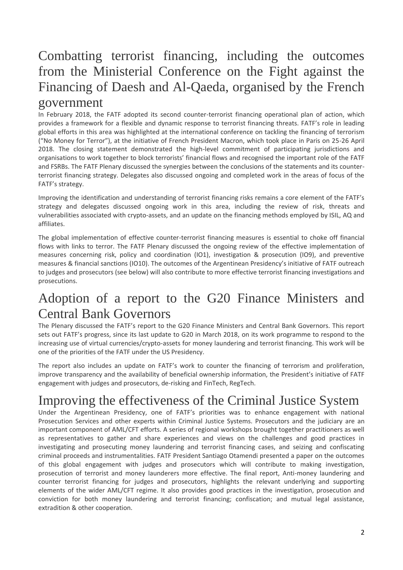# Combatting terrorist financing, including the outcomes from the Ministerial Conference on the Fight against the Financing of Daesh and Al-Qaeda, organised by the French

#### government

In February 2018, the FATF adopted its second counter-terrorist financing operational plan of action, which provides a framework for a flexible and dynamic response to terrorist financing threats. FATF's role in leading global efforts in this area was highlighted at the international conference on tackling the financing of terrorism ("No Money for Terror"), at the initiative of French President Macron, which took place in Paris on 25-26 April 2018. The closing statement demonstrated the high-level commitment of participating jurisdictions and organisations to work together to block terrorists' financial flows and recognised the important role of the FATF and FSRBs. The FATF Plenary discussed the synergies between the conclusions of the statements and its counterterrorist financing strategy. Delegates also discussed ongoing and completed work in the areas of focus of the FATF's strategy.

Improving the identification and understanding of terrorist financing risks remains a core element of the FATF's strategy and delegates discussed ongoing work in this area, including the review of risk, threats and vulnerabilities associated with crypto-assets, and an update on the financing methods employed by ISIL, AQ and affiliates.

The global implementation of effective counter-terrorist financing measures is essential to choke off financial flows with links to terror. The FATF Plenary discussed the ongoing review of the effective implementation of measures concerning risk, policy and coordination (IO1), investigation & prosecution (IO9), and preventive measures & financial sanctions (IO10). The outcomes of the Argentinean Presidency's initiative of FATF outreach to judges and prosecutors (see below) will also contribute to more effective terrorist financing investigations and prosecutions.

### Adoption of a report to the G20 Finance Ministers and Central Bank Governors

The Plenary discussed the FATF's report to the G20 Finance Ministers and Central Bank Governors. This report sets out FATF's progress, since its last update to G20 in March 2018, on its work programme to respond to the increasing use of virtual currencies/crypto-assets for money laundering and terrorist financing. This work will be one of the priorities of the FATF under the US Presidency.

The report also includes an update on FATF's work to counter the financing of terrorism and proliferation, improve transparency and the availability of beneficial ownership information, the President's initiative of FATF engagement with judges and prosecutors, de-risking and FinTech, RegTech.

# Improving the effectiveness of the Criminal Justice System

Under the Argentinean Presidency, one of FATF's priorities was to enhance engagement with national Prosecution Services and other experts within Criminal Justice Systems. Prosecutors and the judiciary are an important component of AML/CFT efforts. A series of regional workshops brought together practitioners as well as representatives to gather and share experiences and views on the challenges and good practices in investigating and prosecuting money laundering and terrorist financing cases, and seizing and confiscating criminal proceeds and instrumentalities. FATF President Santiago Otamendi presented a paper on the outcomes of this global engagement with judges and prosecutors which will contribute to making investigation, prosecution of terrorist and money launderers more effective. The final report, Anti-money laundering and counter terrorist financing for judges and prosecutors, highlights the relevant underlying and supporting elements of the wider AML/CFT regime. It also provides good practices in the investigation, prosecution and conviction for both money laundering and terrorist financing; confiscation; and mutual legal assistance, extradition & other cooperation.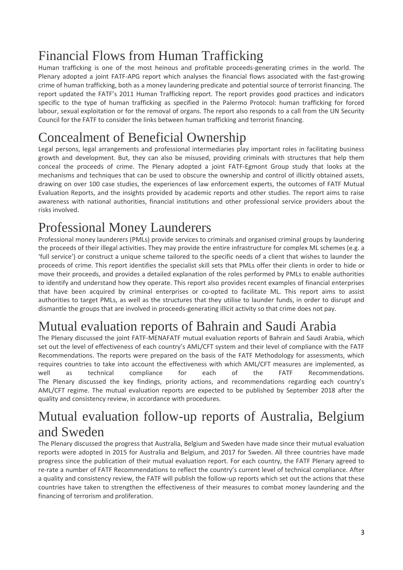# Financial Flows from Human Trafficking

Human trafficking is one of the most heinous and profitable proceeds-generating crimes in the world. The Plenary adopted a joint FATF-APG report which analyses the financial flows associated with the fast-growing crime of human trafficking, both as a money laundering predicate and potential source of terrorist financing. The report updated the FATF's 2011 Human Trafficking report. The report provides good practices and indicators specific to the type of human trafficking as specified in the Palermo Protocol: human trafficking for forced labour, sexual exploitation or for the removal of organs. The report also responds to a call from the UN Security Council for the FATF to consider the links between human trafficking and terrorist financing.

# Concealment of Beneficial Ownership

Legal persons, legal arrangements and professional intermediaries play important roles in facilitating business growth and development. But, they can also be misused, providing criminals with structures that help them conceal the proceeds of crime. The Plenary adopted a joint FATF-Egmont Group study that looks at the mechanisms and techniques that can be used to obscure the ownership and control of illicitly obtained assets, drawing on over 100 case studies, the experiences of law enforcement experts, the outcomes of FATF Mutual Evaluation Reports, and the insights provided by academic reports and other studies. The report aims to raise awareness with national authorities, financial institutions and other professional service providers about the risks involved.

### Professional Money Launderers

Professional money launderers (PMLs) provide services to criminals and organised criminal groups by laundering the proceeds of their illegal activities. They may provide the entire infrastructure for complex ML schemes (e.g. a 'full service') or construct a unique scheme tailored to the specific needs of a client that wishes to launder the proceeds of crime. This report identifies the specialist skill sets that PMLs offer their clients in order to hide or move their proceeds, and provides a detailed explanation of the roles performed by PMLs to enable authorities to identify and understand how they operate. This report also provides recent examples of financial enterprises that have been acquired by criminal enterprises or co-opted to facilitate ML. This report aims to assist authorities to target PMLs, as well as the structures that they utilise to launder funds, in order to disrupt and dismantle the groups that are involved in proceeds-generating illicit activity so that crime does not pay.

# Mutual evaluation reports of Bahrain and Saudi Arabia

The Plenary discussed the joint FATF-MENAFATF mutual evaluation reports of Bahrain and Saudi Arabia, which set out the level of effectiveness of each country's AML/CFT system and their level of compliance with the FATF Recommendations. The reports were prepared on the basis of the FATF Methodology for assessments, which requires countries to take into account the effectiveness with which AML/CFT measures are implemented, as well as technical compliance for each of the FATF Recommendations. The Plenary discussed the key findings, priority actions, and recommendations regarding each country's AML/CFT regime. The mutual evaluation reports are expected to be published by September 2018 after the quality and consistency review, in accordance with procedures.

### Mutual evaluation follow-up reports of Australia, Belgium and Sweden

The Plenary discussed the progress that Australia, Belgium and Sweden have made since their mutual evaluation reports were adopted in 2015 for Australia and Belgium, and 2017 for Sweden. All three countries have made progress since the publication of their mutual evaluation report. For each country, the FATF Plenary agreed to re-rate a number of FATF Recommendations to reflect the country's current level of technical compliance. After a quality and consistency review, the FATF will publish the follow-up reports which set out the actions that these countries have taken to strengthen the effectiveness of their measures to combat money laundering and the financing of terrorism and proliferation.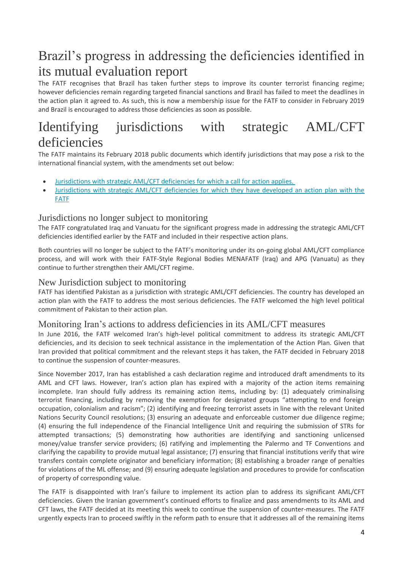# Brazil's progress in addressing the deficiencies identified in its mutual evaluation report

The FATF recognises that Brazil has taken further steps to improve its counter terrorist financing regime; however deficiencies remain regarding targeted financial sanctions and Brazil has failed to meet the deadlines in the action plan it agreed to. As such, this is now a membership issue for the FATF to consider in February 2019 and Brazil is encouraged to address those deficiencies as soon as possible.

### Identifying jurisdictions with strategic AML/CFT deficiencies

The FATF maintains its February 2018 public documents which identify jurisdictions that may pose a risk to the international financial system, with the amendments set out below:

- [Jurisdictions with strategic AML/CFT deficiencies for which a call for action applies.](http://www.fatf-gafi.org/publications/high-riskandnon-cooperativejurisdictions/documents/public-statement-june-2018.html)
- [Jurisdictions with strategic AML/CFT deficiencies for which they have developed an action plan with the](http://www.fatf-gafi.org/publications/high-riskandnon-cooperativejurisdictions/documents/fatf-compliance-june-2018.html)  [FATF](http://www.fatf-gafi.org/publications/high-riskandnon-cooperativejurisdictions/documents/fatf-compliance-june-2018.html)

#### Jurisdictions no longer subject to monitoring

The FATF congratulated Iraq and Vanuatu for the significant progress made in addressing the strategic AML/CFT deficiencies identified earlier by the FATF and included in their respective action plans.

Both countries will no longer be subject to the FATF's monitoring under its on-going global AML/CFT compliance process, and will work with their FATF-Style Regional Bodies MENAFATF (Iraq) and APG (Vanuatu) as they continue to further strengthen their AML/CFT regime.

#### New Jurisdiction subject to monitoring

FATF has identified Pakistan as a jurisdiction with strategic AML/CFT deficiencies. The country has developed an action plan with the FATF to address the most serious deficiencies. The FATF welcomed the high level political commitment of Pakistan to their action plan.

#### Monitoring Iran's actions to address deficiencies in its AML/CFT measures

In June 2016, the FATF welcomed Iran's high-level political commitment to address its strategic AML/CFT deficiencies, and its decision to seek technical assistance in the implementation of the Action Plan. Given that Iran provided that political commitment and the relevant steps it has taken, the FATF decided in February 2018 to continue the suspension of counter-measures.

Since November 2017, Iran has established a cash declaration regime and introduced draft amendments to its AML and CFT laws. However, Iran's action plan has expired with a majority of the action items remaining incomplete. Iran should fully address its remaining action items, including by: (1) adequately criminalising terrorist financing, including by removing the exemption for designated groups "attempting to end foreign occupation, colonialism and racism"; (2) identifying and freezing terrorist assets in line with the relevant United Nations Security Council resolutions; (3) ensuring an adequate and enforceable customer due diligence regime; (4) ensuring the full independence of the Financial Intelligence Unit and requiring the submission of STRs for attempted transactions; (5) demonstrating how authorities are identifying and sanctioning unlicensed money/value transfer service providers; (6) ratifying and implementing the Palermo and TF Conventions and clarifying the capability to provide mutual legal assistance; (7) ensuring that financial institutions verify that wire transfers contain complete originator and beneficiary information; (8) establishing a broader range of penalties for violations of the ML offense; and (9) ensuring adequate legislation and procedures to provide for confiscation of property of corresponding value.

The FATF is disappointed with Iran's failure to implement its action plan to address its significant AML/CFT deficiencies. Given the Iranian government's continued efforts to finalize and pass amendments to its AML and CFT laws, the FATF decided at its meeting this week to continue the suspension of counter-measures. The FATF urgently expects Iran to proceed swiftly in the reform path to ensure that it addresses all of the remaining items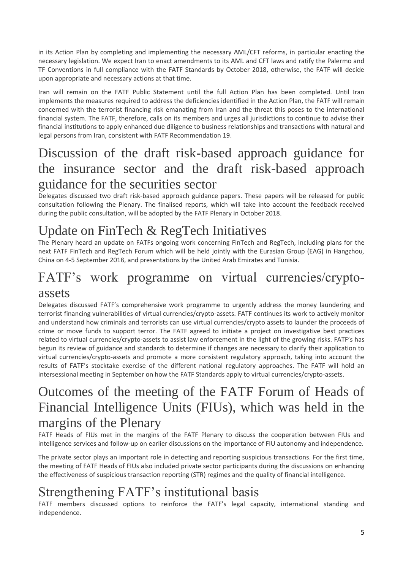in its Action Plan by completing and implementing the necessary AML/CFT reforms, in particular enacting the necessary legislation. We expect Iran to enact amendments to its AML and CFT laws and ratify the Palermo and TF Conventions in full compliance with the FATF Standards by October 2018, otherwise, the FATF will decide upon appropriate and necessary actions at that time.

Iran will remain on the FATF Public Statement until the full Action Plan has been completed. Until Iran implements the measures required to address the deficiencies identified in the Action Plan, the FATF will remain concerned with the terrorist financing risk emanating from Iran and the threat this poses to the international financial system. The FATF, therefore, calls on its members and urges all jurisdictions to continue to advise their financial institutions to apply enhanced due diligence to business relationships and transactions with natural and legal persons from Iran, consistent with FATF Recommendation 19.

### Discussion of the draft risk-based approach guidance for the insurance sector and the draft risk-based approach guidance for the securities sector

Delegates discussed two draft risk-based approach guidance papers. These papers will be released for public consultation following the Plenary. The finalised reports, which will take into account the feedback received during the public consultation, will be adopted by the FATF Plenary in October 2018.

# Update on FinTech & RegTech Initiatives

The Plenary heard an update on FATFs ongoing work concerning FinTech and RegTech, including plans for the next FATF FinTech and RegTech Forum which will be held jointly with the Eurasian Group (EAG) in Hangzhou, China on 4-5 September 2018, and presentations by the United Arab Emirates and Tunisia.

### FATF's work programme on virtual currencies/cryptoassets

Delegates discussed FATF's comprehensive work programme to urgently address the money laundering and terrorist financing vulnerabilities of virtual currencies/crypto-assets. FATF continues its work to actively monitor and understand how criminals and terrorists can use virtual currencies/crypto assets to launder the proceeds of crime or move funds to support terror. The FATF agreed to initiate a project on investigative best practices related to virtual currencies/crypto-assets to assist law enforcement in the light of the growing risks. FATF's has begun its review of guidance and standards to determine if changes are necessary to clarify their application to virtual currencies/crypto-assets and promote a more consistent regulatory approach, taking into account the results of FATF's stocktake exercise of the different national regulatory approaches. The FATF will hold an intersessional meeting in September on how the FATF Standards apply to virtual currencies/crypto-assets.

### Outcomes of the meeting of the FATF Forum of Heads of Financial Intelligence Units (FIUs), which was held in the margins of the Plenary

FATF Heads of FIUs met in the margins of the FATF Plenary to discuss the cooperation between FIUs and intelligence services and follow-up on earlier discussions on the importance of FIU autonomy and independence.

The private sector plays an important role in detecting and reporting suspicious transactions. For the first time, the meeting of FATF Heads of FIUs also included private sector participants during the discussions on enhancing the effectiveness of suspicious transaction reporting (STR) regimes and the quality of financial intelligence.

# Strengthening FATF's institutional basis

FATF members discussed options to reinforce the FATF's legal capacity, international standing and independence.